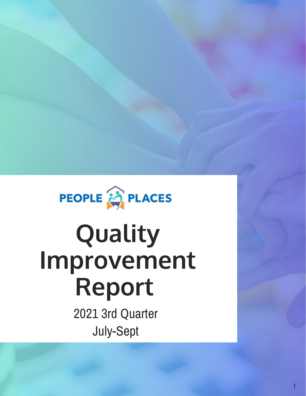

# **Quality Improvement Report**

2021 3rd Quarter July-Sept

1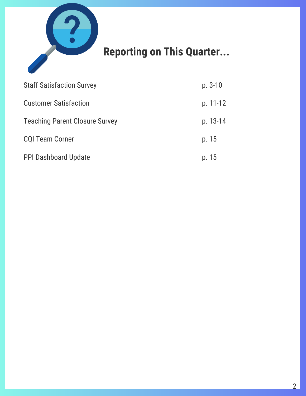

# **Reporting on This Quarter...**

| <b>Staff Satisfaction Survey</b>      | $p. 3-10$ |
|---------------------------------------|-----------|
| <b>Customer Satisfaction</b>          | p. 11-12  |
| <b>Teaching Parent Closure Survey</b> | p. 13-14  |
| <b>CQI Team Corner</b>                | p. 15     |
| <b>PPI Dashboard Update</b>           | p. 15     |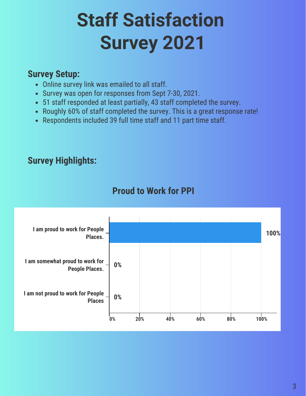# **Staff Satisfaction Survey 2021**

#### **Survey Setup:**

- Online survey link was emailed to all staff.
- Survey was open for responses from Sept 7-30, 2021.
- 51 staff responded at least partially, 43 staff completed the survey.
- Roughly 60% of staff completed the survey. This is a great response rate!
- Respondents included 39 full time staff and 11 part time staff.

#### **Survey Highlights:**



#### **Proud to Work for PPI**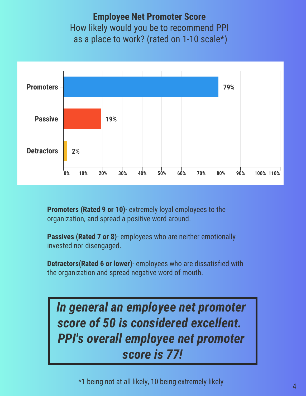**Employee Net Promoter Score** How likely would you be to recommend PPI as a place to work? (rated on 1-10 scale\*)



**Promoters (Rated 9 or 10)**- extremely loyal employees to the organization, and spread a positive word around.

**Passives (Rated 7 or 8)**- employees who are neither emotionally invested nor disengaged.

**Detractors(Rated 6 or lower)**- employees who are dissatisfied with the organization and spread negative word of mouth.

*In general an employee net promoter score of 50 is considered excellent. PPI's overall employee net promoter score is 77!*

 $^{\star}$ 1 being not at all likely, 10 being extremely likely  $_{4}$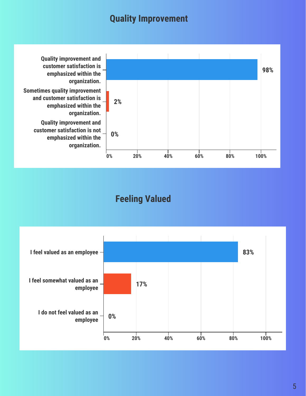#### **Quality Improvement**



#### **Feeling Valued**

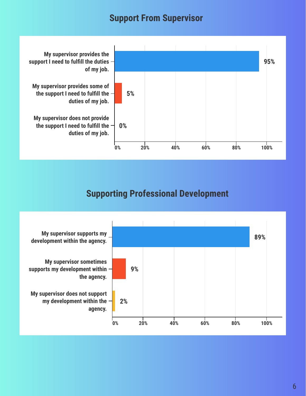#### **Support From Supervisor**



#### **Supporting Professional Development**

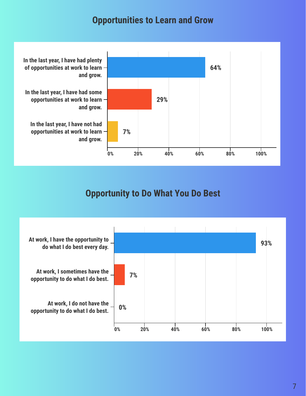#### **Opportunities to Learn and Grow**



#### **Opportunity to Do What You Do Best**

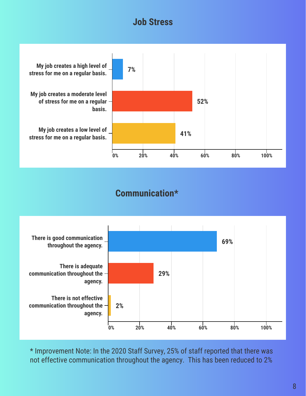#### **Job Stress**



#### **Communication\***



\* Improvement Note: In the 2020 Staff Survey, 25% of staff reported that there was not effective communication throughout the agency. This has been reduced to 2%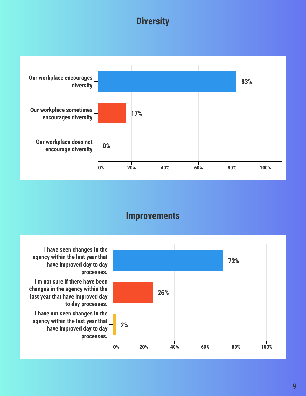#### **Diversity**



#### **Improvements**



**I have seen changes in the agency within the last year that have improved day to day processes.**

**I'm not sure if there have been changes in the agency within the last year that have improved day to day processes.**

**I have not seen changes in the agency within the last year that have improved day to day processes.**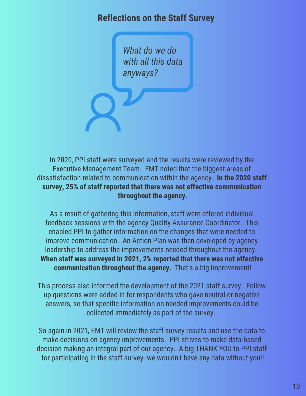#### **Reflections on the Staff Survey**

*What do we do with all this data anyways?*

In 2020, PPI staff were surveyed and the results were reviewed by the Executive Management Team. EMT noted that the biggest areas of dissatisfaction related to communication within the agency. **In the 2020 staff survey, 25% of staff reported that there was not effective communication throughout the agency.**

As a result of gathering this information, staff were offered individual feedback sessions with the agency Quality Assurance Coordinator. This enabled PPI to gather information on the changes that were needed to improve communication. An Action Plan was then developed by agency leadership to address the improvements needed throughout the agency. **When staff was surveyed in 2021, 2% reported that there was not effective communication throughout the agency.** That's a big improvement!

This process also informed the development of the 2021 staff survey. Followup questions were added in for respondents who gave neutral or negative answers, so that specific information on needed improvements could be collected immediately as part of the survey.

So again in 2021, EMT will review the staff survey results and use the data to make decisions on agency improvements. PPI strives to make data-based decision making an integral part of our agency. A big THANK YOU to PPI staff for participating in the staff survey- we wouldn't have any data without you!!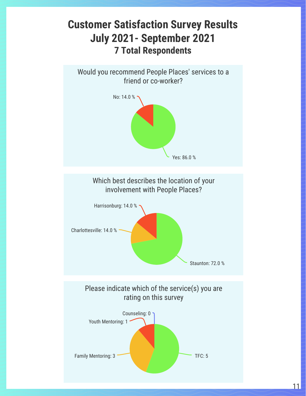## **Customer Satisfaction Survey Results July 2021- September 2021 7 Total Respondents**

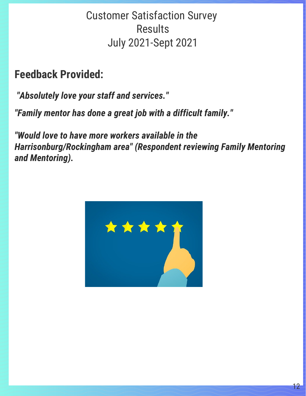# Customer Satisfaction Survey **Results** July 2021-Sept 2021

**Feedback Provided:**

*"Absolutely love your staff and services."*

*"Family mentor has done a great job with a difficult family."*

*"Would love to have more workers available in the Harrisonburg/Rockingham area" (Respondent reviewing Family Mentoring and Mentoring).*

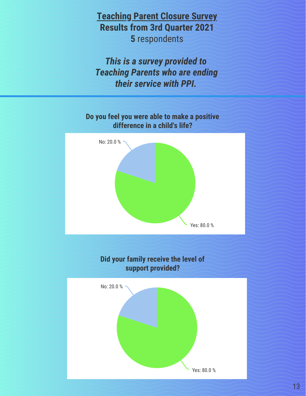**Teaching Parent Closure Survey Results from 3rd Quarter 2021 5** respondents

*This is a survey provided to Teaching Parents who are ending their service with PPI.* 



13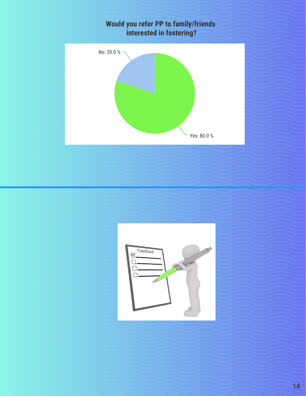